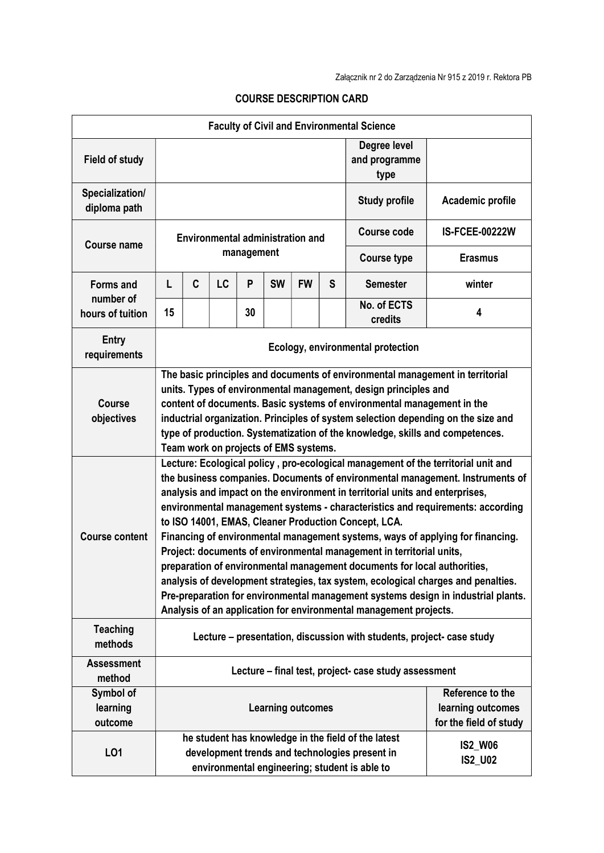| <b>Faculty of Civil and Environmental Science</b> |                                                                                                                                                                                                                                                                                                                                                                                                                                                                                                                                                                                                                                                                                                                                                                                                                                                                                   |   |    |            |           |                          |                                       |                                                                                                                                                        |                                                                 |
|---------------------------------------------------|-----------------------------------------------------------------------------------------------------------------------------------------------------------------------------------------------------------------------------------------------------------------------------------------------------------------------------------------------------------------------------------------------------------------------------------------------------------------------------------------------------------------------------------------------------------------------------------------------------------------------------------------------------------------------------------------------------------------------------------------------------------------------------------------------------------------------------------------------------------------------------------|---|----|------------|-----------|--------------------------|---------------------------------------|--------------------------------------------------------------------------------------------------------------------------------------------------------|-----------------------------------------------------------------|
| <b>Field of study</b>                             |                                                                                                                                                                                                                                                                                                                                                                                                                                                                                                                                                                                                                                                                                                                                                                                                                                                                                   |   |    |            |           |                          | Degree level<br>and programme<br>type |                                                                                                                                                        |                                                                 |
| Specialization/<br>diploma path                   |                                                                                                                                                                                                                                                                                                                                                                                                                                                                                                                                                                                                                                                                                                                                                                                                                                                                                   |   |    |            |           |                          |                                       | <b>Study profile</b>                                                                                                                                   | Academic profile                                                |
| <b>Course name</b>                                | <b>Environmental administration and</b>                                                                                                                                                                                                                                                                                                                                                                                                                                                                                                                                                                                                                                                                                                                                                                                                                                           |   |    |            |           |                          |                                       | <b>Course code</b>                                                                                                                                     | <b>IS-FCEE-00222W</b>                                           |
|                                                   |                                                                                                                                                                                                                                                                                                                                                                                                                                                                                                                                                                                                                                                                                                                                                                                                                                                                                   |   |    | management |           |                          |                                       | <b>Course type</b>                                                                                                                                     | <b>Erasmus</b>                                                  |
| <b>Forms and</b><br>number of<br>hours of tuition | L                                                                                                                                                                                                                                                                                                                                                                                                                                                                                                                                                                                                                                                                                                                                                                                                                                                                                 | C | LC | P          | <b>SW</b> | <b>FW</b>                | S                                     | <b>Semester</b>                                                                                                                                        | winter                                                          |
|                                                   | 15                                                                                                                                                                                                                                                                                                                                                                                                                                                                                                                                                                                                                                                                                                                                                                                                                                                                                |   |    | 30         |           |                          |                                       | No. of ECTS<br>credits                                                                                                                                 | 4                                                               |
| <b>Entry</b><br>requirements                      | Ecology, environmental protection                                                                                                                                                                                                                                                                                                                                                                                                                                                                                                                                                                                                                                                                                                                                                                                                                                                 |   |    |            |           |                          |                                       |                                                                                                                                                        |                                                                 |
| <b>Course</b><br>objectives                       | The basic principles and documents of environmental management in territorial<br>units. Types of environmental management, design principles and<br>content of documents. Basic systems of environmental management in the<br>inductrial organization. Principles of system selection depending on the size and<br>type of production. Systematization of the knowledge, skills and competences.<br>Team work on projects of EMS systems.                                                                                                                                                                                                                                                                                                                                                                                                                                         |   |    |            |           |                          |                                       |                                                                                                                                                        |                                                                 |
| <b>Course content</b>                             | Lecture: Ecological policy, pro-ecological management of the territorial unit and<br>the business companies. Documents of environmental management. Instruments of<br>analysis and impact on the environment in territorial units and enterprises,<br>environmental management systems - characteristics and requirements: according<br>to ISO 14001, EMAS, Cleaner Production Concept, LCA.<br>Financing of environmental management systems, ways of applying for financing.<br>Project: documents of environmental management in territorial units,<br>preparation of environmental management documents for local authorities,<br>analysis of development strategies, tax system, ecological charges and penalties.<br>Pre-preparation for environmental management systems design in industrial plants.<br>Analysis of an application for environmental management projects. |   |    |            |           |                          |                                       |                                                                                                                                                        |                                                                 |
| <b>Teaching</b><br>methods                        | Lecture – presentation, discussion with students, project- case study                                                                                                                                                                                                                                                                                                                                                                                                                                                                                                                                                                                                                                                                                                                                                                                                             |   |    |            |           |                          |                                       |                                                                                                                                                        |                                                                 |
| <b>Assessment</b><br>method                       | Lecture - final test, project- case study assessment                                                                                                                                                                                                                                                                                                                                                                                                                                                                                                                                                                                                                                                                                                                                                                                                                              |   |    |            |           |                          |                                       |                                                                                                                                                        |                                                                 |
| Symbol of<br>learning<br>outcome                  |                                                                                                                                                                                                                                                                                                                                                                                                                                                                                                                                                                                                                                                                                                                                                                                                                                                                                   |   |    |            |           | <b>Learning outcomes</b> |                                       |                                                                                                                                                        | Reference to the<br>learning outcomes<br>for the field of study |
| LO1                                               |                                                                                                                                                                                                                                                                                                                                                                                                                                                                                                                                                                                                                                                                                                                                                                                                                                                                                   |   |    |            |           |                          |                                       | he student has knowledge in the field of the latest<br>development trends and technologies present in<br>environmental engineering; student is able to | <b>IS2_W06</b><br><b>IS2_U02</b>                                |

## COURSE DESCRIPTION CARD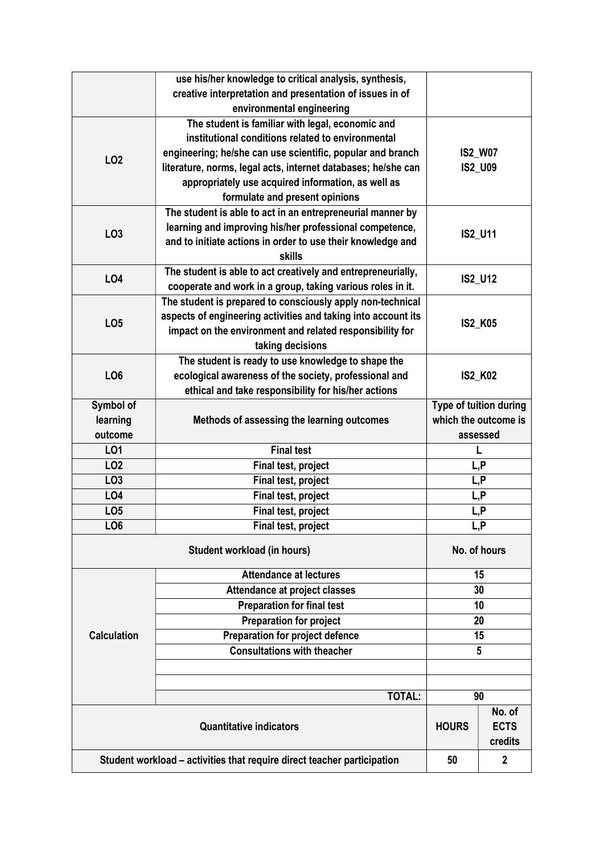|                                                                         | use his/her knowledge to critical analysis, synthesis,        |                                                |                  |  |  |
|-------------------------------------------------------------------------|---------------------------------------------------------------|------------------------------------------------|------------------|--|--|
|                                                                         | creative interpretation and presentation of issues in of      |                                                |                  |  |  |
|                                                                         | environmental engineering                                     |                                                |                  |  |  |
|                                                                         | The student is familiar with legal, economic and              |                                                |                  |  |  |
|                                                                         | institutional conditions related to environmental             | <b>IS2_W07</b><br><b>IS2_U09</b>               |                  |  |  |
|                                                                         | engineering; he/she can use scientific, popular and branch    |                                                |                  |  |  |
| LO <sub>2</sub>                                                         | literature, norms, legal acts, internet databases; he/she can |                                                |                  |  |  |
|                                                                         | appropriately use acquired information, as well as            |                                                |                  |  |  |
|                                                                         | formulate and present opinions                                |                                                |                  |  |  |
|                                                                         | The student is able to act in an entrepreneurial manner by    | IS2_U11                                        |                  |  |  |
|                                                                         | learning and improving his/her professional competence,       |                                                |                  |  |  |
| LO <sub>3</sub>                                                         | and to initiate actions in order to use their knowledge and   |                                                |                  |  |  |
|                                                                         | <b>skills</b>                                                 |                                                |                  |  |  |
|                                                                         | The student is able to act creatively and entrepreneurially,  |                                                |                  |  |  |
| LO4                                                                     | cooperate and work in a group, taking various roles in it.    | <b>IS2_U12</b>                                 |                  |  |  |
|                                                                         | The student is prepared to consciously apply non-technical    |                                                |                  |  |  |
|                                                                         | aspects of engineering activities and taking into account its |                                                |                  |  |  |
| LO <sub>5</sub>                                                         | impact on the environment and related responsibility for      |                                                | <b>IS2_K05</b>   |  |  |
|                                                                         | taking decisions                                              |                                                |                  |  |  |
|                                                                         | The student is ready to use knowledge to shape the            | <b>IS2_K02</b>                                 |                  |  |  |
| LO <sub>6</sub>                                                         | ecological awareness of the society, professional and         |                                                |                  |  |  |
|                                                                         | ethical and take responsibility for his/her actions           |                                                |                  |  |  |
| Symbol of                                                               |                                                               |                                                |                  |  |  |
| learning                                                                | Methods of assessing the learning outcomes                    | Type of tuition during<br>which the outcome is |                  |  |  |
| outcome                                                                 |                                                               |                                                |                  |  |  |
| LO1                                                                     | <b>Final test</b>                                             | assessed                                       |                  |  |  |
| LO <sub>2</sub>                                                         | Final test, project                                           |                                                | L, P             |  |  |
| LO <sub>3</sub>                                                         | Final test, project                                           | L, P                                           |                  |  |  |
| LO <sub>4</sub>                                                         | Final test, project                                           | L, P                                           |                  |  |  |
| LO <sub>5</sub>                                                         | Final test, project                                           | L,P                                            |                  |  |  |
| LO <sub>6</sub>                                                         | Final test, project                                           | L, P                                           |                  |  |  |
|                                                                         |                                                               |                                                |                  |  |  |
|                                                                         | No. of hours                                                  |                                                |                  |  |  |
|                                                                         | <b>Attendance at lectures</b>                                 |                                                | 15               |  |  |
|                                                                         | Attendance at project classes                                 | 30                                             |                  |  |  |
|                                                                         | <b>Preparation for final test</b>                             | 10                                             |                  |  |  |
|                                                                         | <b>Preparation for project</b>                                | 20                                             |                  |  |  |
| <b>Calculation</b>                                                      | Preparation for project defence                               | 15                                             |                  |  |  |
|                                                                         | <b>Consultations with theacher</b>                            | 5                                              |                  |  |  |
|                                                                         |                                                               |                                                |                  |  |  |
|                                                                         |                                                               |                                                |                  |  |  |
|                                                                         | <b>TOTAL:</b>                                                 |                                                | 90               |  |  |
|                                                                         |                                                               |                                                | No. of           |  |  |
|                                                                         | <b>HOURS</b>                                                  | <b>ECTS</b>                                    |                  |  |  |
|                                                                         |                                                               | credits                                        |                  |  |  |
| Student workload - activities that require direct teacher participation |                                                               |                                                | $\boldsymbol{2}$ |  |  |
|                                                                         | 50                                                            |                                                |                  |  |  |